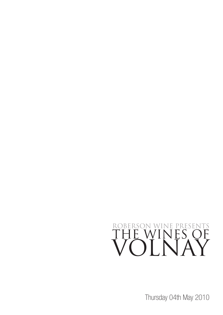## ROBERSON WINE PRESENTS THE WINES OF VOLNAY

Thursday 04th May 2010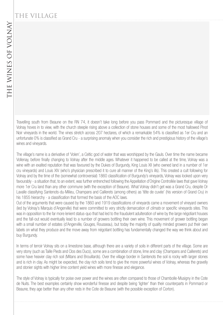## THE VILLAGE

Travelling south from Beaune on the RN 74, it doesn't take long before you pass Pommard and the picturesque village of Volnay hoves in to view, with the church steeple rising above a collection of stone houses and some of the most hallowed Pinot Noir vineyards in the world. The vines stretch across 207 hectares, of which a remarkable 54% is classified as 1er Cru and an unfortunate 0% is classified as Grand Cru - a surprising anomaly when you consider the rich and prestigious history of the village's wines and vineyards.

The village's name is a derivative of 'Volen', a Celtic god of water that was worshipped by the Gauls. Over time the name became Vollenay, before finally changing to Volnay after the middle ages. Whatever it happened to be called at the time, Volnay was a wine with an exalted reputation that was favoured by the Dukes of Burgundy, King Louis XII (who owned land in a number of 1er cru vineyards) and Louis XIV (who's physician prescribed it to cure all manner of the King's ills). This created a cult following for Volnay and by the time of the (somewhat controversial) 1860 classification of Burgundy's vineyards, Volnay was looked upon very favourably - a situation that, to an extent, was further entrenched following the Appellation d'Origine Controllée laws that gave Volnay more 1er Cru land than any other commune (with the exception of Beaune). What Volnay didn't get was a Grand Cru, despite Dr Lavalle classifying Santenots-du-Milieu, Champans and Caillerets (among others) as 'tête de cuvée' (his version of Grand Cru) in his 1855 hierarchy - a classification that formed the basis of the AOC laws.

Out of the arguments that were caused by the 1860 and 1919 classifications of vineyards came a movement of vineyard owners (led by Volnay's Marquis d'Angerville) that were committed to very strictly demarcation of *climats* or specific vineyards sites. This was in opposition to the far more lenient status-quo that had led to the fraudulent adulteration of wine by the large négotiant houses and the fall-out would eventually lead to a number of growers bottling their own wine. This movement of grower bottling began with a small number of estates (d'Angerville, Gouges, Rousseau), but today the majority of quality minded growers put their own labels on what they produce and the move away from négotiant bottling has fundamentally changed the way we think about and buy Burgundy.

In terms of terroir Volnay sits on a limestone base, although there are a variety of soils in different parts of the village. Some are very stony (such as Taille Pieds and Clos des Ducs), some are a combination of stone, lime and clay (Champans and Caillerets) and some have heavier clay rich soil (Mitans and Brouillards). Over the village border in Santenots the soil is rocky with larger stones and is rich in clay. As might be expected, the clay rich soils tend to give the more powerful wines of Volnay, whereas the gravelly and stonier sights with higher lime content yield wines with more finesse and elegance.

The style of Volnay is typically for poise over power and the wines are often compared to those of Chambolle-Musigny in the Cote de Nuits. The best examples certainly show wonderful finesse and despite being 'lighter' than their counterparts in Pommard or Beaune, they age better than any other reds in the Cote de Beaune (with the possible exception of Corton).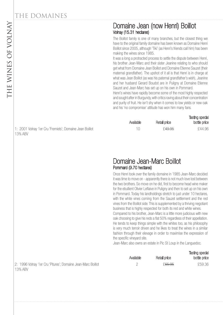#### Domaine Jean (now Henri) Boillot Volnay (15.31 hectares)

The Boillot family is one of many branches, but the closest thing we have to the original family domaine has been known as Domaine Henri Boillot since 2005, although 'Tiki' (as Henri's friends call him) has been making the wines since 1985.

It was a long a protracted process to settle the dispute between Henri, his brother Jean-Marc and their sister Jeanine relating to who should get what from Domaine Jean Boillot and Domaine Etienne Sauzet (their maternal grandfather). The upshot of it all is that Henri is in charge at what was Jean Boillot (as was his paternal grandfather's wish), Jeanine and her husband Gerard Boudot are in Puligny at Domaine Etienne Sauzet and Jean-Marc has set up on his own in Pommard.

Henri's wines have rapidly become some of the most highly respected and sought after in Burgundy, with critics raving about their concentration and purity of fruit. He isn't shy when it comes to low yields or new oak and his 'no compromise' attitude has won him many fans.

| Available | Retail price       | <b>Tasting special</b><br>bottle price |
|-----------|--------------------|----------------------------------------|
| 10        | £ <del>49.95</del> | £44.96                                 |

#### Domaine Jean-Marc Boillot Pommard (9.70 hectares)

Once Henri took over the family domaine in 1985 Jean-Marc decided it was time to move on - apparently there is not much love lost between the two brothers. So move on he did, first to become head wine maker for the ebullient Olivier Leflaive in Puligny and then to set up on his own in Pommard. Today his landholdings stretch to just under 10 hectares, with the white vines coming from the Sauzet settlement and the red vines from the Boillot side. This is supplemented by a thriving negotiant business that is highly respected for both its red and white wines. Compared to his brother, Jean-Marc is a little more judicious with new oak choosing to give his reds a flat 50% regardless of their appellation. He tends to keep things simple with the whites too, as his philosophy is very much terroir driven and he likes to treat the wines in a similar fashion through their elevage in order to maximise the expression of the specific vineyard site.

Jean-Marc also owns an estate in Pic St Loup in the Languedoc.

Tasting special

|                                                             | Available | Retail price       | <b>1000119 UPVOID</b><br>bottle price |
|-------------------------------------------------------------|-----------|--------------------|---------------------------------------|
| 2: 1996 Volnay 1er Cru 'Pitures'; Domaine Jean-Marc Boillot |           | £ <del>65.95</del> | £59.36                                |
| 13% ABV                                                     |           |                    |                                       |

1: 2001 Volnay 1er Cru 'Fremiets'; Domaine Jean Boillot 13% ABV

13% ABV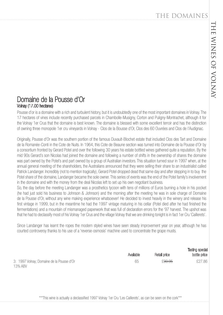#### Domaine de la Pousse d'Or Volnay (17.00 hectares)

Pousse d'or is a domaine with a rich and turbulent history, but it is undoubtedly one of the most important domaines in Volnay. The 17 hectares of vines include recently purchased parcels in Chambolle-Musigny, Corton and Puligny-Montrachet, although it for the Volnay 1er Crus that the domaine is best known. The domaine is blessed with some excellent terroir and has the distinction of owning three monopole 1er cru vineyards in Volnay - Clos de la Bousse d'Or, Clos des 60 Ouvrées and Clos de l'Audignac.

Originally, Pousse d'Or was the southern portion of the famous Duvault-Blochet estate that included Clos des Tart and Domaine de la Romanée-Conti in the Cote de Nuits. In 1964, this Cote de Beaune section was turned into Domaine de la Pousse d'Or by a consortium fronted by Gerard Potel and over the following 30 years his estate bottled wines gathered quite a reputation. By the mid 90s Gerard's son Nicolas had joined the domaine and following a number of shifts in the ownership of shares the domaine was part owned by the Potel's and part owned by a group of Australian investors. This situation turned sour in 1997 when, at the annual general meeting of the shareholders, the Australians announced that they were selling their share to an industrialist called Patrick Landanger. Incredibly (not to mention tragically), Gerard Potel dropped dead that same day and after stepping in to buy the Potel share of the domaine, Landanger became the sole owner. This series of events was the end of the Potel family's involvement in the domaine and with the money from the deal Nicolas left to set up his own negotiant business.

So, the day before the meeting Landanger was a prosthetics tycoon with tens of millions of Euros burning a hole in his pocket (he had just sold his business to Johnson & Johnson) and the morning after the meeting he was in sole charge of Domaine de la Pousse d'Or, without any wine making experience whatsoever! He decided to invest heavily in the winery and release his first vintage in 1999, but in the meantime he had the 1997 vintage maturing in his cellar (Potel died after he had finished the fermentations) and a mountain of mismanaged paperwork that was full of declaration errors for the '97 harvest. The upshot was that he had to declassify most of his Volnay 1er Crus and the village Volnay that we are drinking tonight is in fact 1er Cru 'Caillerets'.

Since Landanger has learnt the ropes the modern styled wines have seen steady improvement year on year, although he has courted controversy thanks to his use of a 'reverse-osmosis' machine used to concentrate the grape musts.

|                                                      | Available | Retail price       | Tasting special<br>bottle price |
|------------------------------------------------------|-----------|--------------------|---------------------------------|
| 3: 1997 Volnay; Domaine de la Pousse d'Or<br>13% ABV | 65        | £ <del>30.95</del> | £27.86                          |

\*\*\*This wine is actually a declassified 1997 Volnay 1er Cru 'Les Caillerets', as can be seen on the cork\*\*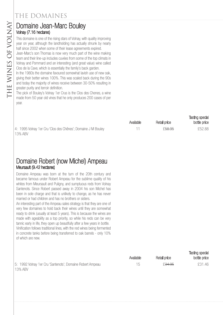# Volnay (7.16 hectares)

This domaine is one of the rising stars of Volnay, with quality improving year on year, although the landholding has actually shrunk by nearly half since 2002 when some of their lease agreements expired.

Jean-Marc's son Thomas is now very much part of the wine making team and their line-up includes cuvées from some of the top climats in Volnay and Pommard and an interesting (and great value) wine called Clos de la Cave, which is essentially the family's back garden.

**Domaine Jean-Marc Bouley**<br>
Volnay (7.16 hectares)<br>
This domaine is one of the rising stars of Volnay, wit<br>
year on year, although the landholding has actual!<br>
half since 2002 when some of their lease agreeme<br>
Jean-Marc's In the 1980s the domaine favoured somewhat lavish use of new oak, giving their better wines 100%. This was scaled back during the 90s and today the majority of wines receive between 30-50% resulting in greater purity and terroir definition.

The pick of Bouley's Volnay 1er Crus is the Clos des Chenes, a wine made from 50 year old vines that he only produces 200 cases of per year.

|                    | Available | Retail price       | lasung special<br>bottle price |
|--------------------|-----------|--------------------|--------------------------------|
| Domaine J M Bouley |           | £ <del>58.95</del> | £52.88                         |

Tasting special

Tasting special

4: 1995 Volnay 1er Cru 'Clos des Chênes'; D 13% ABV

#### Domaine Robert (now Michel) Ampeau Meursault (9.42 hectares)

Domaine Ampeau was born at the turn of the 20th century and became famous under Robert Ampeau for the sublime quality of his whites from Meursault and Puligny, and sumptuous reds from Volnay Santenots. Since Robert passed away in 2004 his son Michel has been in sole charge and that is unlikely to change, as he has never married or had children and has no brothers or sisters.

An interesting part of the Ampeau sales strategy is that they are one of very few domaines to hold back their wines until they are somewhat ready to drink (usually at least 5 years). This is because the wines are made with ageability as a top priority, so while his reds can be very tannic early in life, they open up beautifully after a few years in bottle. Vinification follows traditional lines, with the red wines being fermented in concrete tanks before being transferred to oak barrels - only 10% of which are new.

|                                                                      | Available | Retail price       | bottle price |
|----------------------------------------------------------------------|-----------|--------------------|--------------|
| 5: 1992 Volnay 1er Cru 'Santenots'; Domaine Robert Ampeau<br>13% ABV |           | £ <del>34.95</del> | £31.46       |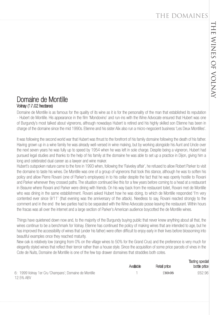#### Domaine de Montille Volnay (17.02 hectares)

Domaine de Montille is as famous for the quality of its wine as it is for the personality of the man that established its reputation - Hubert de Montille. His appearance in the film 'Mondovino' and run-ins with the Wine Advocate ensured that Hubert was one of Burgundy's most talked about vignerons, although nowadays Hubert is retired and his highly skilled son Etienne has been in charge of the domaine since the mid 1990s. Etienne and his sister Alix also run a micro-negocient business 'Les Deux Montilles'.

It was following the second world war that Hubert was thrust to the forefront of his family domaine following the death of his father. Having grown up in a wine family he was already well-versed in wine making, but by working alongside his Aunt and Uncle over the next seven years he was fully up to speed by 1954 when he was left in sole charge. Despite being a vigneron, Hubert had pursued legal studies and thanks to the help of his family at the domaine he was able to set up a practice in Dijon, giving him a long and celebrated dual career as a lawyer and wine maker.

Hubert's outspoken nature came to the fore in 1993 when, following the 'Faiveley affair', he refused to allow Robert Parker to visit the domaine to taste his wines. De Montille was one of a group of vignerons that took this stance, although he was to soften his policy and allow Pierre Rovani (one of Parker's employees) in to his cellar despite the fact that he was openly hostile to Rovani and Parker whenever they crossed paths. The situation continued like this for a few years before coming to a head at a restaurant in Beaune where Rovani and Parker were dining with friends. On his way back from the restaurant toilet, Rovani met de Montille who was dining in the same establishment. Rovani asked Hubert how he was doing, to which de Montille responded 'I'm very contented ever since 9/11' (that evening was the anniversary of the attack). Needless to say, Rovani reacted strongly to the comment and in the end the two parties had to be separated with the Wine Advocate posse leaving the restaurant. Within hours the fracas was all over the internet and a large section of Parker's American audience boycotted the de Montille wines.

Things have quietened down now and, to the majority of the Burgundy buying public that never knew anything about all that, the wines continue to be a benchmark for Volnay. Etienne has continued the policy of making wines that are intended to age, but he has improved the accessibility of wines that (under his father) were often difficult to enjoy early in their lives before blossoming into beautiful examples once they reached maturity.

New oak is relatively low (ranging from 0% on the village wines to 50% for the Grand Crus) and the preference is very much for elegantly styled wines that reflect their terroir rather than a house style. Since the acquisition of some price parcels of vines in the Cote de Nuits, Domaine de Montille is one of the few top drawer domaines that straddles both cotes.

|                                                        |           |                    | <b>Tasting special</b> |
|--------------------------------------------------------|-----------|--------------------|------------------------|
|                                                        | Available | Retail price       | bottle price           |
| 6: 1999 Volnay 1er Cru 'Champans'; Domaine de Montille |           | £ <del>69.95</del> | £62.96                 |
| 12.5% ABV                                              |           |                    |                        |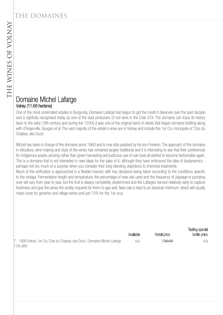#### Domaine Michel Lafarge Volnay (11.68 hectares)

One of the most underrated estates in Burgundy, Domaine Lafarge has begun to get the credit it deserves over the past decade and is rightfully recognised today as one of the best producers of red wine in the Cote d'Or. The domaine can trace its history back to the early 19th century and during the 1930s it was one of the original band of rebels that began domaine bottling along with d'Angerville, Gouges et al. The vast majority of the estate's vines are in Volnay and include the 1er Cru monopole of 'Clos du Chateau des Ducs'.

Michel has been in charge of the domaine since 1960 and is now ably assisted by his son Frederic. The approach of the domaine in viticulture, wine making and style of the wines has remained largely traditional and it is interesting to see that their preferences for indigenous yeasts, pruning rather than green harvesting and judicious use of oak have all started to become fashionable again. This is a domaine that is not interested in new ideas for the sake of it, although they have embraced the idea of biodynamics perhaps not too much of a surprise when you consider their long standing objections to chemical treatments. Much of the vinification is approached in a flexible manner, with key decisions being taken according to the conditions specific

to the vintage. Fermentation length and temperature, the percentage of new oak used and the frequency of *pigeage* or pumping over will vary from year to year, but the fruit is always completely destemmed and the Lafarges harvest relatively early to capture freshness and give the wines the acidity required for them to age well. New oak is kept to an absolute minimum, which will usually mean none for generics and village wines and just 15% for the 1er crus.

|                                                                           | Available | Retail price | <b>TWUTTY UPUUL</b><br>bottle price |
|---------------------------------------------------------------------------|-----------|--------------|-------------------------------------|
| 7: 1999 Volnay 1er Cru 'Clos du Chateau des Ducs'; Domaine Michel Lafarge | n/a       | £80.00       | n/a                                 |
| <b>13% ABV</b>                                                            |           |              |                                     |

Tasting special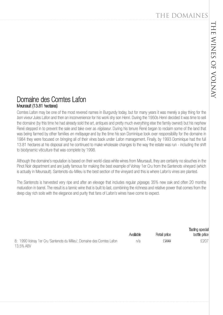Tasting special

#### Domaine des Comtes Lafon Meursault (13.81 hectares)

Comtes Lafon may be one of the most revered names in Burgundy today, but for many years it was merely a play thing for the bon viveur Jules Lafon and then an inconvenience for his work shy son Henri. During the 1950s Henri decided it was time to sell the domaine (by this time he had already sold the art, antiques and pretty much everything else the family owned) but his nephew René stepped in to prevent the sale and take over as régisseur. During his tenure René began to reclaim some of the land that was being farmed by other families *en métayage* and by the time his son Dominique took over responsibility for the domaine in 1984 they were focused on bringing all of their vines back under Lafon management. Finally, by 1993 Dominique had the full 13.81 hectares at his disposal and he continued to make wholesale changes to the way the estate was run - including the shift to biodynamic viticulture that was complete by 1998.

Although the domaine's reputation is based on their world-class white wines from Meursault, they are certainly no slouches in the Pinot Noir department and are justly famous for making the best example of Volnay 1er Cru from the Santenots vineyard (which is actually in Meursault). Santenots-du-Mileu is the best section of the vineyard and this is where Lafon's vines are planted.

The Santenots is harvested very ripe and after an elevage that includes regular *pigeage*, 35% new oak and often 20 months maturation in barrel. The result is a tannic wine that is built to last, combining the richness and relative power that comes from the deep clay rich soils with the elegance and purity that fans of Lafon's wines have come to expect.

|                                                                        | Available | Retail price     | bottle price |
|------------------------------------------------------------------------|-----------|------------------|--------------|
| 8: 1990 Volnay 1er Cru 'Santenots du Milieu'; Domaine des Comtes Lafon | n/a       | £ <del>230</del> | £207         |
| 13.5% ABV                                                              |           |                  |              |